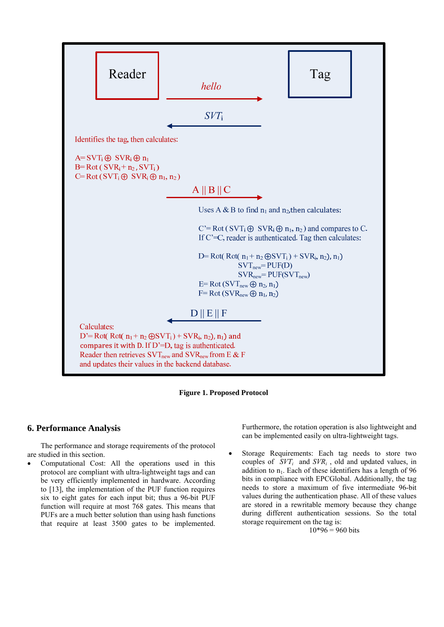

**Figure 1. Proposed Protocol**

# **6. Performance Analysis**

The performance and storage requirements of the protocol are studied in this section.

 Computational Cost: All the operations used in this protocol are compliant with ultra-lightweight tags and can be very efficiently implemented in hardware. According to [13], the implementation of the PUF function requires six to eight gates for each input bit; thus a 96-bit PUF function will require at most 768 gates. This means that PUFs are a much better solution than using hash functions that require at least 3500 gates to be implemented. Furthermore, the rotation operation is also lightweight and can be implemented easily on ultra-lightweight tags.

 Storage Requirements: Each tag needs to store two couples of *SVTi* and *SVRi* , old and updated values, in addition to  $n_1$ . Each of these identifiers has a length of 96 bits in compliance with EPCGlobal. Additionally, the tag needs to store a maximum of five intermediate 96-bit values during the authentication phase. All of these values are stored in a rewritable memory because they change during different authentication sessions. So the total storage requirement on the tag is:

 $10*96 = 960$  bits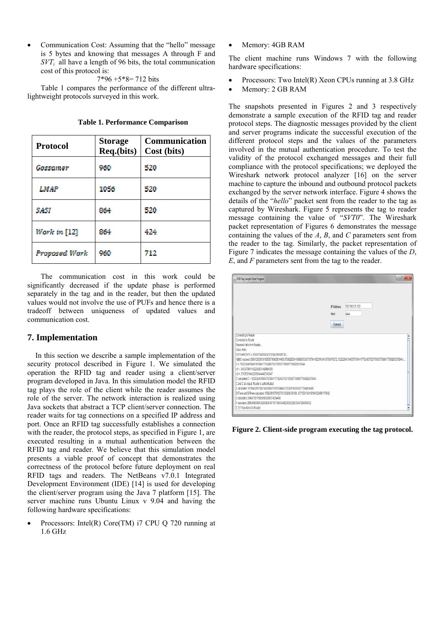Communication Cost: Assuming that the "hello" message is 5 bytes and knowing that messages A through F and *SVT<sub>i</sub>* all have a length of 96 bits, the total communication cost of this protocol is:

$$
7*96 + 5*8 = 712
$$
 bits

Table 1 compares the performance of the different ultralightweight protocols surveyed in this work.

| <b>Protocol</b> | <b>Storage</b><br>Req.(bits) | Communication<br>Cost (bits) |  |
|-----------------|------------------------------|------------------------------|--|
| Gassamer        | 960                          | 520                          |  |
| LMAP            | 1056                         | 520                          |  |
| SASI            | 864                          | 520                          |  |
| Work in $[12]$  | 864                          | 424                          |  |
| Proposed Wark   | 960                          | 712                          |  |

**Table 1. Performance Comparison** 

The communication cost in this work could be significantly decreased if the update phase is performed separately in the tag and in the reader, but then the updated values would not involve the use of PUFs and hence there is a tradeoff between uniqueness of updated values and communication cost.

## **7. Implementation**

In this section we describe a sample implementation of the security protocol described in Figure 1. We simulated the operation the RFID tag and reader using a client/server program developed in Java. In this simulation model the RFID tag plays the role of the client while the reader assumes the role of the server. The network interaction is realized using Java sockets that abstract a TCP client/server connection. The reader waits for tag connections on a specified IP address and port. Once an RFID tag successfully establishes a connection with the reader, the protocol steps, as specified in Figure 1, are executed resulting in a mutual authentication between the RFID tag and reader. We believe that this simulation model presents a viable proof of concept that demonstrates the correctness of the protocol before future deployment on real RFID tags and readers. The NetBeans v7.0.1 Integrated Development Environment (IDE) [14] is used for developing the client/server program using the Java 7 platform [15]. The server machine runs Ubuntu Linux v 9.04 and having the following hardware specifications:

 Processors: Intel(R) Core(TM) i7 CPU Q 720 running at 1.6 GHz

Memory: 4GB RAM

The client machine runs Windows 7 with the following hardware specifications:

- Processors: Two Intel(R) Xeon CPUs running at 3.8 GHz
- Memory: 2 GB RAM

The snapshots presented in Figures 2 and 3 respectively demonstrate a sample execution of the RFID tag and reader protocol steps. The diagnostic messages provided by the client and server programs indicate the successful execution of the different protocol steps and the values of the parameters involved in the mutual authentication procedure. To test the validity of the protocol exchanged messages and their full compliance with the protocol specifications; we deployed the Wireshark network protocol analyzer [16] on the server machine to capture the inbound and outbound protocol packets exchanged by the server network interface. Figure 4 shows the details of the "*hello*" packet sent from the reader to the tag as captured by Wireshark. Figure 5 represents the tag to reader message containing the value of "*SVT0*". The Wireshark packet representation of Figures 6 demonstrates the message containing the values of the *A*, *B*, and *C* parameters sent from the reader to the tag. Similarly, the packet representation of Figure 7 indicates the message containing the values of the *D*, *E*, and *F* parameters sent from the tag to the reader.



**Figure 2. Client-side program executing the tag protocol.**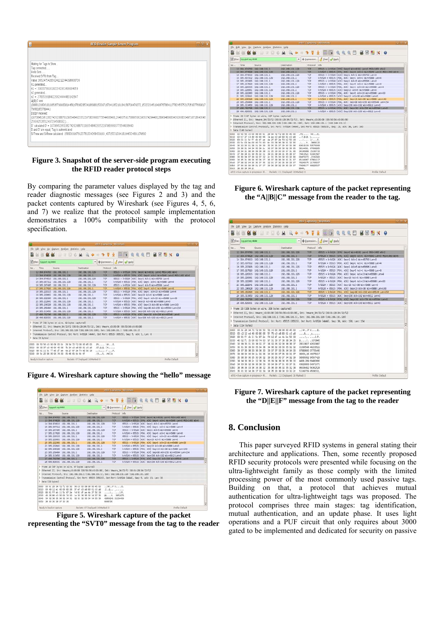| 圖                                    | RFID Reader Sample Server Program                                                                                               | $-$ 0 $x$ |  |
|--------------------------------------|---------------------------------------------------------------------------------------------------------------------------------|-----------|--|
|                                      |                                                                                                                                 |           |  |
|                                      |                                                                                                                                 |           |  |
| Waiting for Tags to Show             |                                                                                                                                 |           |  |
| Tag connected                        |                                                                                                                                 |           |  |
| Hello Sent                           |                                                                                                                                 |           |  |
| Received SVTO from Tag               |                                                                                                                                 |           |  |
| n1 generated                         | Value: 365247542856241212344398008736                                                                                           |           |  |
|                                      | n1 =: 30033799161022342931499994659                                                                                             |           |  |
| n2 generated                         |                                                                                                                                 |           |  |
|                                      | n2 =: 27835391840220624444483142847                                                                                             |           |  |
| AIBIIC sent:                         |                                                                                                                                 |           |  |
|                                      | (386812063618109505790083814458,678982853418698815330716794105219184158700470272,1532320451940676786411778245575217059377669817 |           |  |
| 7968295378944.)<br>DIIEIIF received: |                                                                                                                                 |           |  |
|                                      | (107084529513827426208870109354846233522970836603773544038400.264007591758065062905074294408.2896948068043626683049710718643648 |           |  |
| 256362528512497294508032,)           |                                                                                                                                 |           |  |
|                                      | D' rairulated D' = 107084529513827426208870109354846233522970836603773544038400                                                 |           |  |
|                                      | D and D' are equal. Tag is authenticated                                                                                        |           |  |
|                                      | SVTnew and SVRnew calculated: 15882091679123781334268430190.43715331304181946324891170692                                       |           |  |
|                                      |                                                                                                                                 |           |  |
|                                      |                                                                                                                                 |           |  |

#### **Figure 3. Snapshot of the server-side program executing the RFID reader protocol steps**

By comparing the parameter values displayed by the tag and reader diagnostic messages (see Figures 2 and 3) and the packet contents captured by Wireshark (see Figures 4, 5, 6, and 7) we realize that the protocol sample implementation demonstrates a 100% compatibility with the protocol specification.

| в         |                          |                                                        |                                     | eth): Capturing - Wireshaw                                |                                                                                                                                                                                                                                                                                                                   | <b>ATTENT</b> |
|-----------|--------------------------|--------------------------------------------------------|-------------------------------------|-----------------------------------------------------------|-------------------------------------------------------------------------------------------------------------------------------------------------------------------------------------------------------------------------------------------------------------------------------------------------------------------|---------------|
|           |                          | file Edt Vew Go Capture Analyze Statistics Help        |                                     |                                                           |                                                                                                                                                                                                                                                                                                                   |               |
|           |                          |                                                        |                                     |                                                           | NESS DE DOR ROOD DE RARD BEROS                                                                                                                                                                                                                                                                                    |               |
|           | Misker: trp port eg 4444 |                                                        |                                     |                                                           | - + Expression <u>4 Clear + Apply</u>                                                                                                                                                                                                                                                                             |               |
| No., Time |                          | Source                                                 | Destination                         | Protocol                                                  | <b>Info</b>                                                                                                                                                                                                                                                                                                       |               |
|           |                          | 12 304 974763 192 168 131.1                            | 102.168.131.129                     | TOP                                                       | 65515 > krb524 [SYN] SepiO WINIBIS2 Lenio RSS=1460 WS=2                                                                                                                                                                                                                                                           |               |
|           |                          | 13 304, 974828 192, 168, 131, 129                      | 192.168.131.1                       | TOP                                                       | krb524 > 65515 [SIN, ADI] SeprO Acks] W(ni5640 LeniO MS=1400 Wind                                                                                                                                                                                                                                                 |               |
|           |                          | 14 304.974910 192.168.131.1                            | 193.168.131.129                     | TOP                                                       | 65515 > krb524 [AOK] Segri Ackx1 Winx65700 LenxO                                                                                                                                                                                                                                                                  |               |
|           |                          | 15 305.007312 192.169.131.129                          | 192.168.131.1                       | TOP                                                       | krb524 > 65515 [P94, AD(] Seg=1 Ack=1 Win=5888 Len=4                                                                                                                                                                                                                                                              |               |
|           |                          | 16 305.207495 192.168.131.1                            | 192, 168, 151, 129                  | TOP                                                       | 65515 > krb524 [AOI] Seg=1 Ack=5 W.n=65696 Len=0                                                                                                                                                                                                                                                                  |               |
|           |                          | 17 305 217820 192.168.131.129                          | 192.168.131.1                       | TOP                                                       | krb524 > 65515 [PSH, ADI] Seg=5 Ack=1 W:n=5888 Lan=8                                                                                                                                                                                                                                                              |               |
|           |                          | 18 305.220315 192.168.131.1                            | 192.168.131.129                     | TOP                                                       | 65515 > krb524 [PSH, AOK] Seg=1 Ack=13 W1n=65688 Len=4                                                                                                                                                                                                                                                            |               |
|           |                          | 19 305.220661 192.168.131.129                          | 192.168.131.1                       | TOP                                                       | krb524 > 65515 [AOK] Seq=13 Ack=5 Win=5888 Len=0                                                                                                                                                                                                                                                                  |               |
|           |                          | 20 305.222360 192.168.131.1                            | 192.168.131.129                     | TOP                                                       | 65515 > krb524 (PSK, AOC) Sear5 Ack=13 W.n=65688 Lan=33                                                                                                                                                                                                                                                           |               |
|           |                          | 21 305.222641 192.168.131.129                          | 192.168.131.1                       | TOP                                                       | krb524 > 65515 [AOK] Seg=13 Ack=38 Win=5888 Len=0                                                                                                                                                                                                                                                                 |               |
|           |                          | 22 305.236320 192.168.131.129                          | 192.168.131.1                       | TOP                                                       | krb524 > 65515 [PSH, AOI] Seg=13 Ack=38 Win=5888 Len=143                                                                                                                                                                                                                                                          |               |
|           |                          | 23 305.259484 192.168.131.1                            | 192, 168, 131, 129                  | TOP                                                       | 65515 > krb524 [PSH, AOK] Seg=38 Ack=156 W1n=65544 Len=154                                                                                                                                                                                                                                                        |               |
|           |                          | 24 305.313450 192.168.131.129                          | 192.168.131.1                       | TOP                                                       | krb524 > 65515 [AOI] Seg=156 Ack=192 WLn=6912 Len=0                                                                                                                                                                                                                                                               |               |
|           |                          | 27 406.792790 192.168.131.1                            | 192.168.131.129                     | TOP.                                                      | 65515 > krb524 [FIN, ACK] Seg=192 Ack=156 Win=55544 Lan=0                                                                                                                                                                                                                                                         |               |
|           |                          | 28 406.829331 192.168.131.129                          | 192.168.131.1                       | TOP                                                       | krb524 > 65515 [AOC] Seg=156 Ack=193 W.n=6912 Len=0                                                                                                                                                                                                                                                               |               |
|           | D Data (B bytes)         | P Frame 17 (62 bytes on wire, 62 bytes captured)       |                                     |                                                           | > Ethernet II, Src: Vmware 34:72:f2 (00:0c:29:34:72:f2), Ost: Vmware c0:00:00 (00:50:56:c0:00:08)<br>P Internet Protocol, Src: 192.168.131.129 (192.168.131.129), Dat: 192.168.131.1 (192.168.131.1)<br>P Transmission Control Protocol, Src Port: krb524 (4444), Est Port: 65515 (65515), Seg: 5, Ack: 1, Len: 8 |               |
|           |                          | 0000 00 50 56 c0 00 08 00 0c 29 34 72 12 08 00 45 00   |                                     | $IV$ <sub>1111</sub> $Al$ <sub>111</sub> $E$ <sub>1</sub> |                                                                                                                                                                                                                                                                                                                   |               |
|           |                          | 0010 00:30:37 c0:40:00:40:06 7b 34 c0 all 83 81 c0 all |                                     | $.07.8.8. \{4.$                                           |                                                                                                                                                                                                                                                                                                                   |               |
|           |                          | 0020 93 01 11 5c ff eb df ae 4a 27 97 2e f4 8d 50 18   |                                     | unturn d'annels                                           |                                                                                                                                                                                                                                                                                                                   |               |
|           |                          | 0030 00 5c 25 96 00 00 74 00 05 48 65 6c 6c 6f         |                                     | -Vit. .Hello                                              |                                                                                                                                                                                                                                                                                                                   | Ħ             |
|           | Neady to load or capture |                                                        | Packets: 87 Displayed: 16 Marked: 0 |                                                           | Profile: Default                                                                                                                                                                                                                                                                                                  |               |

**Figure 4. Wireshark capture showing the "hello" message** 

| file Edit View Go Capture Analyze Statistics Help<br><b>NAMES TO BE RAINED REALT AND A REALY OF</b>                                                                                                                                                                                                                                                                                          |                          |
|----------------------------------------------------------------------------------------------------------------------------------------------------------------------------------------------------------------------------------------------------------------------------------------------------------------------------------------------------------------------------------------------|--------------------------|
|                                                                                                                                                                                                                                                                                                                                                                                              |                          |
|                                                                                                                                                                                                                                                                                                                                                                                              |                          |
| - + Daresson J Clear & Apply<br>Citer: tro port eq 4444                                                                                                                                                                                                                                                                                                                                      |                          |
| Protocol info<br>No., Time<br>Destination<br>Source                                                                                                                                                                                                                                                                                                                                          |                          |
| 12 304.974763 192.169.131.1<br>65515 > krb524 [SIN] Sepr0 WLHRESD Letted ROS=1400 WSD<br>102.168.131.120<br>TOP                                                                                                                                                                                                                                                                              |                          |
| kr3524 = E5515 [SIN, AOI] Sear0 Ackr1 W.mr5840 Lami0 MS5r1460 WSr5<br>13 304.074828 192.168.131.129<br>192.160.131.1<br>TOP.                                                                                                                                                                                                                                                                 |                          |
| 65515 > krb524 [ACK] Sep+1 Ack+1 Wtn=55700 Len=0<br>14 304.974910 192.168.131.1<br>192.168.131.129<br>TOP                                                                                                                                                                                                                                                                                    |                          |
| krb524 > 65515 [PS4, AOC] Sep+1 Ack+1 W.n=5888 Len=4<br>15 305.007312 192.168.131.129<br>192, 168, 131, 1<br>TOP:                                                                                                                                                                                                                                                                            |                          |
| 65515 > krb524 [AOK] Seq=1 Ack=5 W1n=65696 Len=0<br>16 305.207495 192.168.131.1<br>TOP<br>192.168.131.129                                                                                                                                                                                                                                                                                    |                          |
| krb524 > 65515 (PSH, AOK) Seg=5 Ack=1 Win=5888 Len=8<br>TOP:<br>17 305 217820 192.168.131.129<br>192,168,131.1                                                                                                                                                                                                                                                                               |                          |
| 65515 > krb524 [PS4, AOI] Sepri Ackx13 Winx65688 LennA<br>TOP<br>18 305.220315 192.169.131.1<br>192.168.131.129                                                                                                                                                                                                                                                                              |                          |
| krb524 > 65515 [AOK] Seg=13 Ack-5 Win=5888 Len=0<br>19 305.220661 192.168.131.129<br>192.168.131.1<br>TOP                                                                                                                                                                                                                                                                                    |                          |
| 65515 > krb524 [PSK, AOX] Sepr5 Ack=13 Won+65688 Len=33<br>20 305.222360 192.168.131.1<br>192.168.131.129<br>YCD <sup>1</sup>                                                                                                                                                                                                                                                                |                          |
| krb534 > 65515 (ADC) Sep+13 Ack+38 WIn+5888 Len+0<br>TOP<br>21 305.222641 192.168.131.129<br>192, 168, 131, 1                                                                                                                                                                                                                                                                                |                          |
| krb524 > 65515 [PSH, AOI] Seq=13 Ack=38 Win=5888 Len=143<br>22 305.236328 192.168.131.129<br>TOP<br>192.168.131.1                                                                                                                                                                                                                                                                            |                          |
| 65515 > krb524 [PB4, AOC] Seprill Askr156 W.n=65544 Lan=154<br>23 305.250494 192.168.131.1<br>192, 168, 131, 129<br>TOP                                                                                                                                                                                                                                                                      |                          |
| krb534 > 65515 [AOI] Sepri56 Ackr192 Winv6912 Lenv0<br>24 305.313450 192.168.131.129<br>102,168,131.1<br>TOP                                                                                                                                                                                                                                                                                 |                          |
| 65515 x krb534 [FIN, AO] 5ep-192 Ack+156 lign=65544 Lenv0<br>27 406.792796 192.168.131.1<br>192, 169, 131, 129<br>TOP.                                                                                                                                                                                                                                                                       |                          |
| krb534 > 65515 [AOK] Sep=156 Ack=193 WLn=6912 Len=0<br>28 406.829331 192.168.131.129<br>192, 168, 131, 13<br>TOP                                                                                                                                                                                                                                                                             |                          |
| 3 Frame 20 (87 bytes on wire, 87 bytes captured)<br>P Ethernet II, Src: Vmware c0:00:08 (00:50:56:c0:00:08), Dst: Vmware 34:72:f2 (00:0c:29:34:72:f2)<br>3 Internet Protocol, Src: 192.168.131.1 (192.168.131.1), Dat: 192.168.131.129 (192.168.131.129)<br>3 Transmission Control Protocol, Src Port: 05515 (05515), Dut Port: krb524 (4444), Seq: 5, Ack: 13, Len: 33<br>> Data (33 bytes) |                          |
| 0000 00 0c 29 34 72 f 2 00 50 56 c0 00 08 08 00 45 00<br>$$ 14r., P $V$ , , E.                                                                                                                                                                                                                                                                                                               |                          |
| 0010 00:49 12 ec 40:00:90 06 5f ef c0 a8:83 01:c0 a8<br>distance process                                                                                                                                                                                                                                                                                                                     |                          |
| 0020 83 81 ff eb 11 5c 87 2e f4 91 df an 4a 2f 50 18                                                                                                                                                                                                                                                                                                                                         |                          |
| 0030 40 26 86 c0 00 00 74 00 1# 33 36 35 32 34 37 35<br>(%t. .3652475)                                                                                                                                                                                                                                                                                                                       |                          |
| OC 62 34 32 36 35 36 37 34 31 32 31 32 33 34 34 33 39<br>42656241 21234439                                                                                                                                                                                                                                                                                                                   |                          |
| 0050 30 30 30 30 37 33 36<br>8008736                                                                                                                                                                                                                                                                                                                                                         |                          |
| Darkets: 87 Piscolaugh: 14 Marketh &<br>Bandy to lead as exetime.                                                                                                                                                                                                                                                                                                                            | <b>Brofile: Parksult</b> |

**Figure 5. Wireshark capture of the packet representing the "SVT0" message from the tag to the reader** 

| Ele Edt View Go Capture Analyze Statistics Help                                                               |                         |                                                         |                                                                    |
|---------------------------------------------------------------------------------------------------------------|-------------------------|---------------------------------------------------------|--------------------------------------------------------------------|
|                                                                                                               |                         |                                                         |                                                                    |
| $\alpha$ and                                                                                                  |                         |                                                         | <b>BEDCAROOTTIERREEXO</b>                                          |
| Misiter: copport eg 4444                                                                                      |                         |                                                         | - + Expression   { Clear   + Apply                                 |
| Time<br>Source<br>No.                                                                                         | <b>Destination</b>      | Protocol                                                | [ tedal                                                            |
| 12 304.974763 192.160.131.1                                                                                   | 192, 168, 131, 129      | TOP                                                     | 65515 x krb524 [StN] Sag=0 Win=8192 Lan=0 MS=1460 Win2             |
| 13 304.974829 192.168.131.129                                                                                 | 192, 168, 131, 1        | TOP.                                                    | krb524 > 65515 [StN, AOC] Segu0 Ack+1 Win+5840 Len=0 MS5+1460 WS=6 |
| 14 304.974910 192.168.131.1                                                                                   | 192.168.131.129         | TCP.                                                    | 65515 > krb524 [ACK] Seg=1 Ack=1 Win=65700 Len=0                   |
| 15 305.007312 192.168.131.129                                                                                 | 192.168.131.1           | TCP                                                     | krb524 > 65515 [PSH, AOK] Seg=1 Ack=1 Win=5888 Len=4               |
| 16 305.207495 192.168.131.1                                                                                   | 192.168.131.129         | TCP.                                                    | 65515 > krb524 [AOK] Seg=1 Ack=5 WLn=65606 Len=0                   |
| 17 305.217820 192.168.131.129                                                                                 | 192.168.131.1           | TCP.                                                    | krb524 > 65515 [PSH, ACK] Sept5 Ackx1 Winv5888 Lanx8               |
| 18.305.220315 192.168.131.1                                                                                   | 192.168.131.129         | TCP.                                                    | 65515 > krb524 [PSH, AOK] Seg=1 Ack=13 Win=65688 Len=4             |
| 19 305.220661 192.168.131.129                                                                                 | 102.160.131.1           | TCP                                                     | krb524 > 65515 [ACK] Seg=13 Ack=5 Win=5888 Len=0                   |
| 20 305.222360 192.168.131.1                                                                                   | 192.168.131.129         | TOP                                                     | 65515 > krb524 [PSH, AOK] Seg+5 Ack+13 Win+65688 Lan=33            |
| 21 305.222641 192.160.131.129                                                                                 | 192, 168, 131, 1        | TCP                                                     | krb524 > 65515 [AOK] Seps13 Acks30 Wins5800 Lans0                  |
| 22 305.236328 192.168.131.129                                                                                 | 192, 168, 191, 1        | TCP                                                     | krb524 > 65515 [P94, ADI] Seg=13 Ack=38 W(n=5888 Len=143)          |
| 23 305.259464 192.168.131.1                                                                                   | 192.168.131.129         | TCP                                                     | 65515 > krb524 [PS4, AO() Seg=30 Ack=156 Win=65544 Len=154         |
| 24 305.313450 192.168.131.129                                                                                 | 192.160.131.1           | TOP                                                     | krb524 > 65515 [ACK] Seg=156 Ack=192 Win=6912 Len=0                |
| 27 406.702798 192.160.131.1                                                                                   | 192.160.131.120         | TCP.                                                    | 65315 > krb524 [FIN, AOC] Sep+192 Ack=156 Win=65544 Lani-0         |
| 28 406.829331 192.168.131.129                                                                                 | 192, 168, 131, 1        | TCP                                                     | krb524 > 65515 [AOC] Seg=156 Ack=103 Win=6912 Len=0<br>۰           |
| D Frame 22 (197 bytes on wire, 197 bytes captured)                                                            |                         |                                                         |                                                                    |
| D Ethernet II, Src: Vmwara 34:72:f2 (00:0c:29:34:72:f2), Dat: Vmwara c0:00:08 (00:50:56:c0:00:08)             |                         |                                                         |                                                                    |
| P Internet Protocol, Src: 192.168.131.129 (192.168.131.129), Ost: 192.168.131.1 (192.168.131.1)               |                         |                                                         |                                                                    |
| P Transmission Control Protocol, Src Port: krb524 (4444), Ost Port: 65515 (65515), Seq: 13, Ack: 38, Len: 143 |                         |                                                         |                                                                    |
|                                                                                                               |                         |                                                         | $\ddot{\cdot}$                                                     |
| D Data (143 bytes)                                                                                            |                         |                                                         |                                                                    |
| 0000 00 50 56 c0 00 08 00 0c 29 34 72 f 2 08 00 45 00                                                         |                         | $PV$ <sub>1</sub> , $P$ <sub>1</sub> , $E$ <sub>1</sub> |                                                                    |
| 0010 00 57 37 c3 40 00 40 06 7a aa c0 a8 83 81 c0 a8                                                          |                         | .7.0.0.7.                                               |                                                                    |
| 0020 83 01 11 Sc ff eb df ae 4a 2f 87 2e f4 b2 50 18                                                          |                         | witness Herrly                                          |                                                                    |
| 0030 00 5c 03 9e 00 00 74 00 8c 33 38 36 38 31 32 30                                                          |                         | .\t. .3068120                                           |                                                                    |
| 0040 36 33 36 31 38 31 30 39<br>0050 33 36 31 34 34 35 36 2; 36 37 38 39 30 30 30 35                          | 35 30 35 37 39 30 30 38 | 63618109 50579008<br>3814458, 67996285                  |                                                                    |
| 0060 33 34 31 38 36 39 38 38                                                                                  | 31 35 33 33 30 37 31 36 | 34196988 15330716                                       |                                                                    |
| 0070 37 39 34 31 30 35 32 31                                                                                  | 39 31 36 34 31 35 36 37 | 79410521 91841587                                       |                                                                    |
| 0080 30 30 34 37 30 32 37 32 2 31 35 33 32 33 32 30                                                           |                         | 00470272 .1532320                                       |                                                                    |
| 0090 34 35 31 39 34 30 36 37 36 37 38 36 34 31 31 37                                                          |                         | 45194067 67864117                                       |                                                                    |
| 0040 37 38 32 34 35 35 37 35 32 31 37 30 35 39 33 37                                                          |                         | 78245575 21705937                                       |                                                                    |
| 0060 37 36 36 39 38 31 37 37 39 36 38 32 39 35 33 37                                                          |                         | 76698177 96829537                                       |                                                                    |
| 00c0 38 39 34 34 2c                                                                                           | RG44.                   |                                                         | ¢                                                                  |
| eth3: <live capture="" in="" progress=""> R Packets: 111 Displayed: 16 Marked: 0</live>                       |                         |                                                         | Profile: Default                                                   |

**Figure 6. Wireshark capture of the packet representing the "A||B||C" message from the reader to the tag.** 

|                                                                                                                                                                                                                                                                                                                                                                                                    |                  | eth 1: Capturing - Winshark             |                                                                   |
|----------------------------------------------------------------------------------------------------------------------------------------------------------------------------------------------------------------------------------------------------------------------------------------------------------------------------------------------------------------------------------------------------|------------------|-----------------------------------------|-------------------------------------------------------------------|
| Ble Edit View Go Capture Analyze Statistics Help                                                                                                                                                                                                                                                                                                                                                   |                  |                                         |                                                                   |
|                                                                                                                                                                                                                                                                                                                                                                                                    |                  |                                         |                                                                   |
| <b>Q M</b>                                                                                                                                                                                                                                                                                                                                                                                         |                  |                                         | <b>BEDCARA 372 BBRERE BBRX 0</b>                                  |
|                                                                                                                                                                                                                                                                                                                                                                                                    |                  |                                         |                                                                   |
| M Fiter: top port eq 4444                                                                                                                                                                                                                                                                                                                                                                          |                  | - + Expression { Clear + Apply          |                                                                   |
| Source<br>No. L<br>Time                                                                                                                                                                                                                                                                                                                                                                            | Destination      | Protocol<br>info                        |                                                                   |
| 12 304.974763 192.168.131.1                                                                                                                                                                                                                                                                                                                                                                        | 192.168.131.129  | TOP                                     | 65515 > krb524 [SVN] Sego0 WITHHIS2 LANNO MSS=1460 WS=2           |
| 13 304.974929 192.168.131.129                                                                                                                                                                                                                                                                                                                                                                      | 192.169.171.1    | TOP.                                    | krb534 > 65515 [SW, ADI] Sept0 Ackx1 W.nr5840 Lani0 MSSx1460 WSH5 |
| 14 304.974910 192.168.131.1                                                                                                                                                                                                                                                                                                                                                                        | 192.168.131.129  | TCP                                     | 65515 > krb524 [AOK] Sep=1 Ack=1 Win=65700 Len=0                  |
| 15 305.007312 192.168.131.129                                                                                                                                                                                                                                                                                                                                                                      | 192.168.131.1    | TOP                                     | krb524 > 65515 [PSH, AOI] Sep=1 Ack=1 Win=5888 Len=4              |
| 16 305 207455 192.168.131.1                                                                                                                                                                                                                                                                                                                                                                        | 192.168.131.129  | TOP                                     | 65515 > krb524 [AOK] Seq=1 Ack=5 Win=65696 Len=0                  |
| 17 305.217820 192.168.131.129                                                                                                                                                                                                                                                                                                                                                                      | 192.168.131.1    | TOP                                     | krb524 > 65515 [PSH, AOK] Sep=5 Ack=1 Win=5888 Len=8              |
| 18 305.220315 192.168.131.1                                                                                                                                                                                                                                                                                                                                                                        | 192.168.131.129  | TOP                                     | 65515 > krb524 [PSH, ACK] Seps] Acka13 Wine65688 Lena4            |
| 19 305.220661 192.168.131.129                                                                                                                                                                                                                                                                                                                                                                      | 192.168.131.1    | TCP                                     | krb524 > 65515 [ACK] Segr13 Acki5 W.mi5888 Lenr0                  |
| 20 305.222360 192.168.131.1                                                                                                                                                                                                                                                                                                                                                                        | 192.168.131.129  | TCP                                     | 65515 > krb534 [PSH, ACK] Sepr5 Ack=13 Winn65688 Len=33           |
| 21 305.222641 192.168.131.129                                                                                                                                                                                                                                                                                                                                                                      | 192.168.131.1    | TCP                                     | krb524 > 65515 [AQK] Sec-13 Ack-38 Wan-5888 Len-0                 |
| 22 305.236328 192.168.131.129                                                                                                                                                                                                                                                                                                                                                                      | 192.168.131.1    | TOP                                     | krb524 > 65515 [PSH, AOX] Sep=13 Ack=38 Win=5888 Len=143          |
| 23 305.259494 192.168.131.1                                                                                                                                                                                                                                                                                                                                                                        | 192.168.131.129  | TOP                                     | 65515 > krb524 [PSH, ADI] Sep=36 Ack=156 Win=65544 Len=154        |
| 24 305.313450 192.168.131.129                                                                                                                                                                                                                                                                                                                                                                      | 192.168.131.1    | TCP                                     | krb524 > 65515 [AOK] Seg=156 Ack=192 Win=6912 Len=0               |
| 27 406.792796 192.168.131.1                                                                                                                                                                                                                                                                                                                                                                        | 192.168.131.129  | TOP                                     | 65515 > krb524 [FIN, ACK] Sept192 Ack=156 Win=65544 LensO         |
| 28 406 820331 102.168.131.120                                                                                                                                                                                                                                                                                                                                                                      | 192, 168, 131, 1 | TOP                                     | kr6524 > 65515 [AOC] Sep+156 Ack=103 Win=6012 Len=0<br>۰          |
| > Frame 23 (208 bytes on wire, 208 bytes captured)<br>> Ethernet II, Src: Vmware c0:00:08 (00:50:56:c0:00:08), Dat: Vmware 34:72:f2 (00:0c:29:34:72:f2)<br>3 Internet Protocol, Src: 192.168.131.1 (192.168.131.1), Dst: 192.168.131.129 (192.168.131.129)<br>> Transmission Control Protocol, Src Port: 65515 (65515), Dst Port: krb524 (4444), Seq: 38, Ack: 156, Len: 154<br>P Data (154 bytes) |                  |                                         | ۵                                                                 |
| 00 0c 29 34 72 f 2 00 50 56 c0 00 08 08 00 45 00<br>coop                                                                                                                                                                                                                                                                                                                                           |                  | $L^2L^2$ , $PV$ , $L^2L$                |                                                                   |
| 0010 00 c2 12 ed 40 00 00 06 5f 75 c0 a8 83 01 c0 a8                                                                                                                                                                                                                                                                                                                                               |                  |                                         |                                                                   |
| 0020 83 81 ff eb 11 5c 87 2e f4 b2 df ae 4a be 50 18                                                                                                                                                                                                                                                                                                                                               |                  |                                         |                                                                   |
| 0030 40 02 f1 1b 00 00 74 00 97 31 30 37 30 38 34 35                                                                                                                                                                                                                                                                                                                                               |                  | @t. .1070845                            |                                                                   |
| 0040 32 39 35 31 33 38 32 37 34 32 36 32 30 38 38 37                                                                                                                                                                                                                                                                                                                                               |                  | 29513827 42620887                       |                                                                   |
| 0050 30 31 30 39 39 35 34 38 34 35 32 33 33 35 32 32                                                                                                                                                                                                                                                                                                                                               |                  | 01093548 46233522                       |                                                                   |
| 0060 30 37 30 38 33 36 36 30 37 37 33 35 34 34 30                                                                                                                                                                                                                                                                                                                                                  |                  | 97083660 37735440                       |                                                                   |
| 0070 33 38 34 30 30 2: 32 36 34 30 30 37 35 39 31 37<br>0080 35 38 30 36 35 30 36 32 30 30 35 30 37 34 32 30                                                                                                                                                                                                                                                                                       |                  | 36400, 26 40075917<br>58065062 90507429 |                                                                   |
| 0090 N N Y OF X 32 36 36 36 36 36 36 30 30 30 30                                                                                                                                                                                                                                                                                                                                                   |                  | 4408,289 69480680                       |                                                                   |
| 0040 34 33 36 32 36 36 38 33 30 34 39 37 31 30 37 31                                                                                                                                                                                                                                                                                                                                               |                  | 43626683 04971071                       |                                                                   |
| 0060 38 36 34 33 36 34 38 32 35 36 38 38 32 35 32 38                                                                                                                                                                                                                                                                                                                                               |                  | 86436482 56362528                       |                                                                   |
| 00c0 35 31 32 34 39 37 32 39 34 35 30 38 30 33 32 2c                                                                                                                                                                                                                                                                                                                                               |                  | 51249729 4509032                        |                                                                   |
| eth3 <live capture="" in="" progress=""> FE. Packets: 113 Displayed: 16 Marked: 0.</live>                                                                                                                                                                                                                                                                                                          |                  |                                         | ⊡<br>Profile: Default                                             |
|                                                                                                                                                                                                                                                                                                                                                                                                    |                  |                                         |                                                                   |

**Figure 7. Wireshark capture of the packet representing the "D||E||F" message from the tag to the reader** 

## **8. Conclusion**

This paper surveyed RFID systems in general stating their architecture and applications. Then, some recently proposed RFID security protocols were presented while focusing on the ultra-lightweight family as those comply with the limited processing power of the most commonly used passive tags. Building on that, a protocol that achieves mutual authentication for ultra-lightweight tags was proposed. The protocol comprises three main stages: tag identification, mutual authentication, and an update phase. It uses light operations and a PUF circuit that only requires about 3000 gated to be implemented and dedicated for security on passive